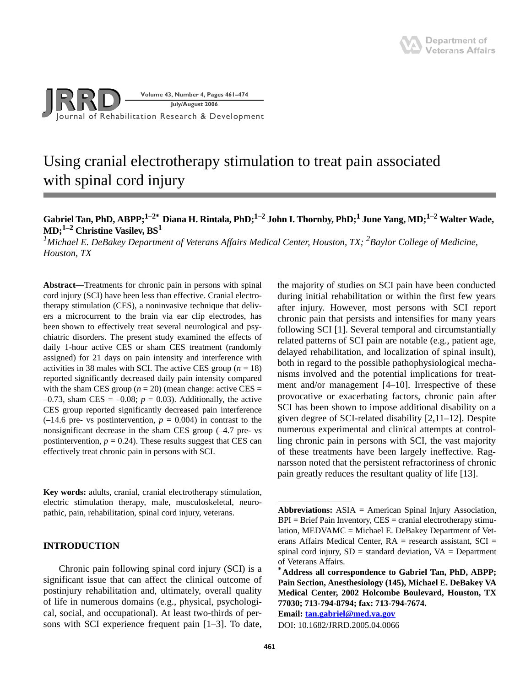

# Using cranial electrotherapy stimulation to treat pain associated with spinal cord injury

# **Gabriel Tan, PhD, ABPP;1–2\* Diana H. Rintala, PhD;1–2 John I. Thornby, PhD;1 June Yang, MD;1–2 Walter Wade, MD;1–2 Christine Vasilev, BS1**

<sup>1</sup> Michael E. DeBakey Department of Veterans Affairs Medical Center, Houston, TX; <sup>2</sup>Baylor College of Medicine, *Houston, TX*

**Abstract—**Treatments for chronic pain in persons with spinal cord injury (SCI) have been less than effective. Cranial electrotherapy stimulation (CES), a noninvasive technique that delivers a microcurrent to the brain via ear clip electrodes, has been shown to effectively treat several neurological and psychiatric disorders. The present study examined the effects of daily 1-hour active CES or sham CES treatment (randomly assigned) for 21 days on pain intensity and interference with activities in 38 males with SCI. The active CES group  $(n = 18)$ reported significantly decreased daily pain intensity compared with the sham CES group  $(n = 20)$  (mean change: active CES  $=$  $-0.73$ , sham CES =  $-0.08$ ;  $p = 0.03$ ). Additionally, the active CES group reported significantly decreased pain interference  $(-14.6 \text{ pre- vs post intervention}, p = 0.004)$  in contrast to the nonsignificant decrease in the sham CES group (–4.7 pre- vs postintervention,  $p = 0.24$ ). These results suggest that CES can effectively treat chronic pain in persons with SCI.

**Key words:** adults, cranial, cranial electrotherapy stimulation, electric stimulation therapy, male, musculoskeletal, neuropathic, pain, rehabilitation, spinal cord injury, veterans.

# **INTRODUCTION**

Chronic pain following spinal cord injury (SCI) is a significant issue that can affect the clinical outcome of postinjury rehabilitation and, ultimately, overall quality of life in numerous domains (e.g., physical, psychological, social, and occupational). At least two-thirds of persons with SCI experience frequent pain [1–3]. To date,

the majority of studies on SCI pain have been conducted during initial rehabilitation or within the first few years after injury. However, most persons with SCI report chronic pain that persists and intensifies for many years following SCI [1]. Several temporal and circumstantially related patterns of SCI pain are notable (e.g., patient age, delayed rehabilitation, and localization of spinal insult), both in regard to the possible pathophysiological mechanisms involved and the potential implications for treatment and/or management [4–10]. Irrespective of these provocative or exacerbating factors, chronic pain after SCI has been shown to impose additional disability on a given degree of SCI-related disability [2,11–12]. Despite numerous experimental and clinical attempts at controlling chronic pain in persons with SCI, the vast majority of these treatments have been largely ineffective. Ragnarsson noted that the persistent refractoriness of chronic pain greatly reduces the resultant quality of life [13].

**Email: [tan.gabriel@med.va.gov](mailto:tan.gabriel@med.va.gov)**

DOI: 10.1682/JRRD.2005.04.0066

**Abbreviations:** ASIA = American Spinal Injury Association,  $BPI = B$ rief Pain Inventory,  $CES = \text{cranial electrotheray}$  stimulation, MEDVAMC = Michael E. DeBakey Department of Veterans Affairs Medical Center,  $RA$  = research assistant,  $SCI$  = spinal cord injury,  $SD =$  standard deviation,  $VA = Department$ of Veterans Affairs.

**<sup>\*</sup>Address all correspondence to Gabriel Tan, PhD, ABPP; Pain Section, Anesthesiology (145), Michael E. DeBakey VA Medical Center, 2002 Holcombe Boulevard, Houston, TX 77030; 713-794-8794; fax: 713-794-7674.**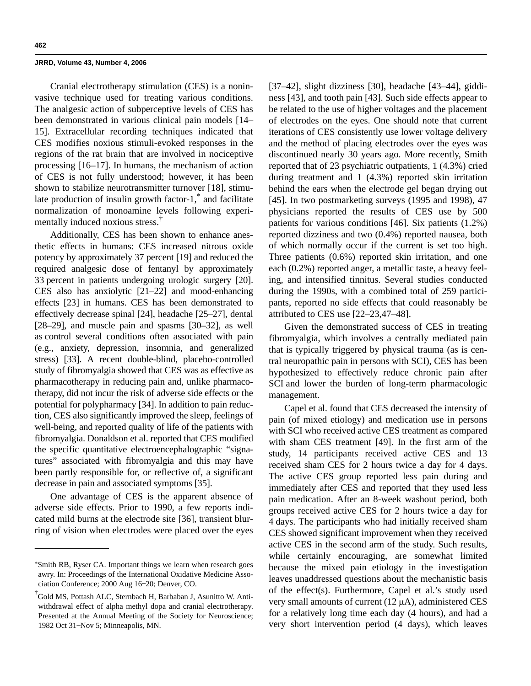Cranial electrotherapy stimulation (CES) is a noninvasive technique used for treating various conditions. The analgesic action of subperceptive levels of CES has been demonstrated in various clinical pain models [14– 15]. Extracellular recording techniques indicated that CES modifies noxious stimuli-evoked responses in the regions of the rat brain that are involved in nociceptive processing [16–17]. In humans, the mechanism of action of CES is not fully understood; however, it has been shown to stabilize neurotransmitter turnover [18], stimulate production of insulin growth factor-1,<sup>\*</sup> and facilitate normalization of monoamine levels following experimentally induced noxious stress.†

Additionally, CES has been shown to enhance anesthetic effects in humans: CES increased nitrous oxide potency by approximately 37 percent [19] and reduced the required analgesic dose of fentanyl by approximately 33 percent in patients undergoing urologic surgery [20]. CES also has anxiolytic [21–22] and mood-enhancing effects [23] in humans. CES has been demonstrated to effectively decrease spinal [24], headache [25–27], dental [28–29], and muscle pain and spasms [30–32], as well as control several conditions often associated with pain (e.g., anxiety, depression, insomnia, and generalized stress) [33]. A recent double-blind, placebo-controlled study of fibromyalgia showed that CES was as effective as pharmacotherapy in reducing pain and, unlike pharmacotherapy, did not incur the risk of adverse side effects or the potential for polypharmacy [34]. In addition to pain reduction, CES also significantly improved the sleep, feelings of well-being, and reported quality of life of the patients with fibromyalgia. Donaldson et al. reported that CES modified the specific quantitative electroencephalographic "signatures" associated with fibromyalgia and this may have been partly responsible for, or reflective of, a significant decrease in pain and associated symptoms [35].

One advantage of CES is the apparent absence of adverse side effects. Prior to 1990, a few reports indicated mild burns at the electrode site [36], transient blurring of vision when electrodes were placed over the eyes

[37–42], slight dizziness [30], headache [43–44], giddiness [43], and tooth pain [43]. Such side effects appear to be related to the use of higher voltages and the placement of electrodes on the eyes. One should note that current iterations of CES consistently use lower voltage delivery and the method of placing electrodes over the eyes was discontinued nearly 30 years ago. More recently, Smith reported that of 23 psychiatric outpatients, 1 (4.3%) cried during treatment and 1 (4.3%) reported skin irritation behind the ears when the electrode gel began drying out [45]. In two postmarketing surveys (1995 and 1998), 47 physicians reported the results of CES use by 500 patients for various conditions [46]. Six patients (1.2%) reported dizziness and two (0.4%) reported nausea, both of which normally occur if the current is set too high. Three patients (0.6%) reported skin irritation, and one each (0.2%) reported anger, a metallic taste, a heavy feeling, and intensified tinnitus. Several studies conducted during the 1990s, with a combined total of 259 participants, reported no side effects that could reasonably be attributed to CES use [22–23,47–48].

Given the demonstrated success of CES in treating fibromyalgia, which involves a centrally mediated pain that is typically triggered by physical trauma (as is central neuropathic pain in persons with SCI), CES has been hypothesized to effectively reduce chronic pain after SCI and lower the burden of long-term pharmacologic management.

Capel et al. found that CES decreased the intensity of pain (of mixed etiology) and medication use in persons with SCI who received active CES treatment as compared with sham CES treatment [49]. In the first arm of the study, 14 participants received active CES and 13 received sham CES for 2 hours twice a day for 4 days. The active CES group reported less pain during and immediately after CES and reported that they used less pain medication. After an 8-week washout period, both groups received active CES for 2 hours twice a day for 4 days. The participants who had initially received sham CES showed significant improvement when they received active CES in the second arm of the study. Such results, while certainly encouraging, are somewhat limited because the mixed pain etiology in the investigation leaves unaddressed questions about the mechanistic basis of the effect(s). Furthermore, Capel et al.'s study used very small amounts of current (12 μA), administered CES for a relatively long time each day (4 hours), and had a very short intervention period (4 days), which leaves

<sup>\*</sup>Smith RB, Ryser CA. Important things we learn when research goes awry. In: Proceedings of the International Oxidative Medicine Association Conference; 2000 Aug 16**–**20; Denver, CO.

<sup>†</sup> Gold MS, Pottash ALC, Sternbach H, Barbaban J, Asunitto W. Antiwithdrawal effect of alpha methyl dopa and cranial electrotherapy. Presented at the Annual Meeting of the Society for Neuroscience; 1982 Oct 31**–**Nov 5; Minneapolis, MN.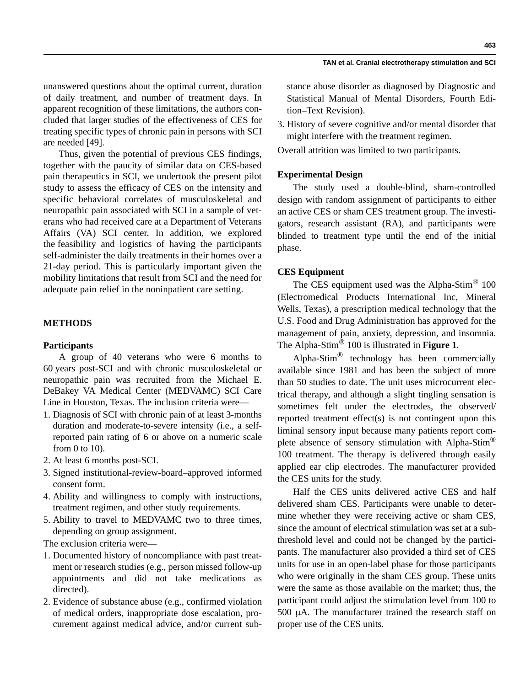unanswered questions about the optimal current, duration of daily treatment, and number of treatment days. In apparent recognition of these limitations, the authors concluded that larger studies of the effectiveness of CES for treating specific types of chronic pain in persons with SCI are needed [49].

Thus, given the potential of previous CES findings, together with the paucity of similar data on CES-based pain therapeutics in SCI, we undertook the present pilot study to assess the efficacy of CES on the intensity and specific behavioral correlates of musculoskeletal and neuropathic pain associated with SCI in a sample of veterans who had received care at a Department of Veterans Affairs (VA) SCI center. In addition, we explored the feasibility and logistics of having the participants self-administer the daily treatments in their homes over a 21-day period. This is particularly important given the mobility limitations that result from SCI and the need for adequate pain relief in the noninpatient care setting.

# **METHODS**

# **Participants**

A group of 40 veterans who were 6 months to 60 years post-SCI and with chronic musculoskeletal or neuropathic pain was recruited from the Michael E. DeBakey VA Medical Center (MEDVAMC) SCI Care Line in Houston, Texas. The inclusion criteria were—

- 1. Diagnosis of SCI with chronic pain of at least 3-months duration and moderate-to-severe intensity (i.e., a selfreported pain rating of 6 or above on a numeric scale from 0 to 10).
- 2. At least 6 months post-SCI.
- 3. Signed institutional-review-board–approved informed consent form.
- 4. Ability and willingness to comply with instructions, treatment regimen, and other study requirements.
- 5. Ability to travel to MEDVAMC two to three times, depending on group assignment.

The exclusion criteria were—

- 1. Documented history of noncompliance with past treatment or research studies (e.g., person missed follow-up appointments and did not take medications as directed).
- 2. Evidence of substance abuse (e.g., confirmed violation of medical orders, inappropriate dose escalation, procurement against medical advice, and/or current sub-

stance abuse disorder as diagnosed by Diagnostic and Statistical Manual of Mental Disorders, Fourth Edition–Text Revision).

3. History of severe cognitive and/or mental disorder that might interfere with the treatment regimen.

Overall attrition was limited to two participants.

## **Experimental Design**

The study used a double-blind, sham-controlled design with random assignment of participants to either an active CES or sham CES treatment group. The investigators, research assistant (RA), and participants were blinded to treatment type until the end of the initial phase.

# **CES Equipment**

The CES equipment used was the Alpha-Stim® 100 (Electromedical Products International Inc, Mineral Wells, Texas), a prescription medical technology that the U.S. Food and Drug Administration has approved for the management of pain, anxiety, depression, and insomnia. The Alpha-Stim® 100 is illustrated in **Figure 1**.

Alpha-Stim® technology has been commercially available since 1981 and has been the subject of more than 50 studies to date. The unit uses microcurrent electrical therapy, and although a slight tingling sensation is sometimes felt under the electrodes, the observed/ reported treatment effect(s) is not contingent upon this liminal sensory input because many patients report complete absence of sensory stimulation with Alpha-Stim® 100 treatment. The therapy is delivered through easily applied ear clip electrodes. The manufacturer provided the CES units for the study.

Half the CES units delivered active CES and half delivered sham CES. Participants were unable to determine whether they were receiving active or sham CES, since the amount of electrical stimulation was set at a subthreshold level and could not be changed by the participants. The manufacturer also provided a third set of CES units for use in an open-label phase for those participants who were originally in the sham CES group. These units were the same as those available on the market; thus, the participant could adjust the stimulation level from 100 to 500 μA. The manufacturer trained the research staff on proper use of the CES units.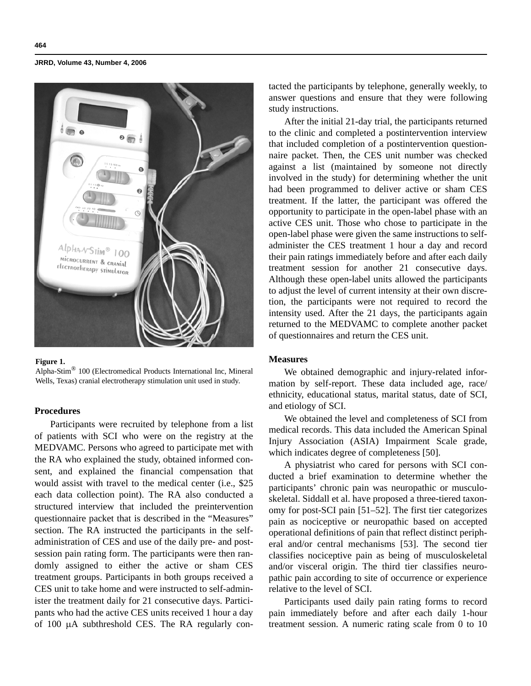

#### **Figure 1.**

Alpha-Stim® 100 (Electromedical Products International Inc, Mineral Wells, Texas) cranial electrotherapy stimulation unit used in study.

# **Procedures**

Participants were recruited by telephone from a list of patients with SCI who were on the registry at the MEDVAMC. Persons who agreed to participate met with the RA who explained the study, obtained informed consent, and explained the financial compensation that would assist with travel to the medical center (i.e., \$25 each data collection point). The RA also conducted a structured interview that included the preintervention questionnaire packet that is described in the "Measures" section. The RA instructed the participants in the selfadministration of CES and use of the daily pre- and postsession pain rating form. The participants were then randomly assigned to either the active or sham CES treatment groups. Participants in both groups received a CES unit to take home and were instructed to self-administer the treatment daily for 21 consecutive days. Participants who had the active CES units received 1 hour a day of 100 μA subthreshold CES. The RA regularly contacted the participants by telephone, generally weekly, to answer questions and ensure that they were following study instructions.

After the initial 21-day trial, the participants returned to the clinic and completed a postintervention interview that included completion of a postintervention questionnaire packet. Then, the CES unit number was checked against a list (maintained by someone not directly involved in the study) for determining whether the unit had been programmed to deliver active or sham CES treatment. If the latter, the participant was offered the opportunity to participate in the open-label phase with an active CES unit. Those who chose to participate in the open-label phase were given the same instructions to selfadminister the CES treatment 1 hour a day and record their pain ratings immediately before and after each daily treatment session for another 21 consecutive days. Although these open-label units allowed the participants to adjust the level of current intensity at their own discretion, the participants were not required to record the intensity used. After the 21 days, the participants again returned to the MEDVAMC to complete another packet of questionnaires and return the CES unit.

# **Measures**

We obtained demographic and injury-related information by self-report. These data included age, race/ ethnicity, educational status, marital status, date of SCI, and etiology of SCI.

We obtained the level and completeness of SCI from medical records. This data included the American Spinal Injury Association (ASIA) Impairment Scale grade, which indicates degree of completeness [50].

A physiatrist who cared for persons with SCI conducted a brief examination to determine whether the participants' chronic pain was neuropathic or musculoskeletal. Siddall et al. have proposed a three-tiered taxonomy for post-SCI pain [51–52]. The first tier categorizes pain as nociceptive or neuropathic based on accepted operational definitions of pain that reflect distinct peripheral and/or central mechanisms [53]. The second tier classifies nociceptive pain as being of musculoskeletal and/or visceral origin. The third tier classifies neuropathic pain according to site of occurrence or experience relative to the level of SCI.

Participants used daily pain rating forms to record pain immediately before and after each daily 1-hour treatment session. A numeric rating scale from 0 to 10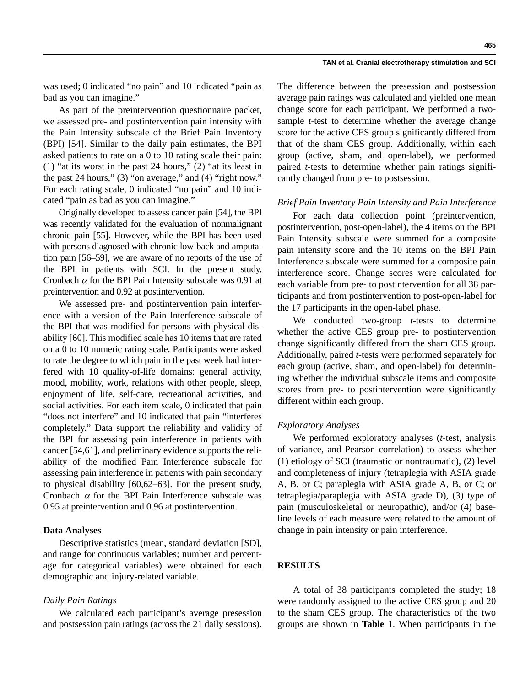was used; 0 indicated "no pain" and 10 indicated "pain as bad as you can imagine."

As part of the preintervention questionnaire packet, we assessed pre- and postintervention pain intensity with the Pain Intensity subscale of the Brief Pain Inventory (BPI) [54]. Similar to the daily pain estimates, the BPI asked patients to rate on a 0 to 10 rating scale their pain: (1) "at its worst in the past 24 hours," (2) "at its least in the past 24 hours," (3) "on average," and (4) "right now." For each rating scale, 0 indicated "no pain" and 10 indicated "pain as bad as you can imagine."

Originally developed to assess cancer pain [54], the BPI was recently validated for the evaluation of nonmalignant chronic pain [55]. However, while the BPI has been used with persons diagnosed with chronic low-back and amputation pain [56–59], we are aware of no reports of the use of the BPI in patients with SCI. In the present study, Cronbach  $\alpha$  for the BPI Pain Intensity subscale was 0.91 at preintervention and 0.92 at postintervention.

We assessed pre- and postintervention pain interference with a version of the Pain Interference subscale of the BPI that was modified for persons with physical disability [60]. This modified scale has 10 items that are rated on a 0 to 10 numeric rating scale. Participants were asked to rate the degree to which pain in the past week had interfered with 10 quality-of-life domains: general activity, mood, mobility, work, relations with other people, sleep, enjoyment of life, self-care, recreational activities, and social activities. For each item scale, 0 indicated that pain "does not interfere" and 10 indicated that pain "interferes completely." Data support the reliability and validity of the BPI for assessing pain interference in patients with cancer [54,61], and preliminary evidence supports the reliability of the modified Pain Interference subscale for assessing pain interference in patients with pain secondary to physical disability [60,62–63]. For the present study, Cronbach  $\alpha$  for the BPI Pain Interference subscale was 0.95 at preintervention and 0.96 at postintervention.

## **Data Analyses**

Descriptive statistics (mean, standard deviation [SD], and range for continuous variables; number and percentage for categorical variables) were obtained for each demographic and injury-related variable.

## *Daily Pain Ratings*

We calculated each participant's average presession and postsession pain ratings (across the 21 daily sessions). The difference between the presession and postsession average pain ratings was calculated and yielded one mean change score for each participant. We performed a twosample *t*-test to determine whether the average change score for the active CES group significantly differed from that of the sham CES group. Additionally, within each group (active, sham, and open-label), we performed paired *t*-tests to determine whether pain ratings significantly changed from pre- to postsession.

## *Brief Pain Inventory Pain Intensity and Pain Interference*

For each data collection point (preintervention, postintervention, post-open-label), the 4 items on the BPI Pain Intensity subscale were summed for a composite pain intensity score and the 10 items on the BPI Pain Interference subscale were summed for a composite pain interference score. Change scores were calculated for each variable from pre- to postintervention for all 38 participants and from postintervention to post-open-label for the 17 participants in the open-label phase.

We conducted two-group *t*-tests to determine whether the active CES group pre- to postintervention change significantly differed from the sham CES group. Additionally, paired *t*-tests were performed separately for each group (active, sham, and open-label) for determining whether the individual subscale items and composite scores from pre- to postintervention were significantly different within each group.

## *Exploratory Analyses*

We performed exploratory analyses (*t*-test, analysis of variance, and Pearson correlation) to assess whether (1) etiology of SCI (traumatic or nontraumatic), (2) level and completeness of injury (tetraplegia with ASIA grade A, B, or C; paraplegia with ASIA grade A, B, or C; or tetraplegia/paraplegia with ASIA grade D), (3) type of pain (musculoskeletal or neuropathic), and/or (4) baseline levels of each measure were related to the amount of change in pain intensity or pain interference.

## **RESULTS**

A total of 38 participants completed the study; 18 were randomly assigned to the active CES group and 20 to the sham CES group. The characteristics of the two groups are shown in **Table 1**. When participants in the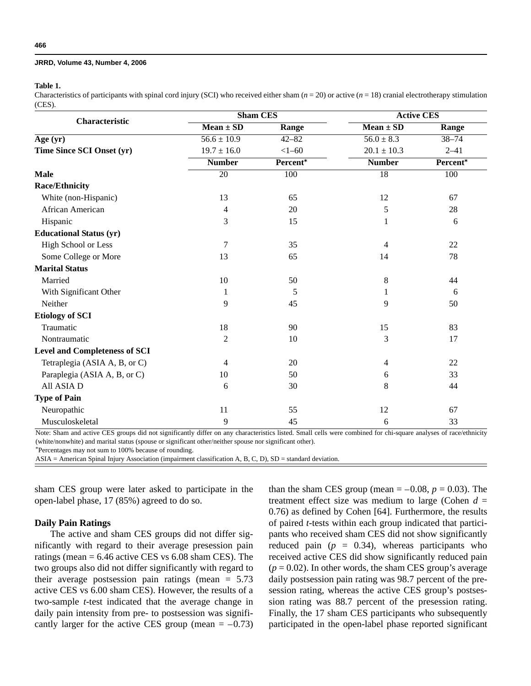## **Table 1.**

Characteristics of participants with spinal cord injury (SCI) who received either sham  $(n = 20)$  or active  $(n = 18)$  cranial electrotherapy stimulation (CES).

|                                      | <b>Sham CES</b> |                      | <b>Active CES</b> |                      |  |
|--------------------------------------|-----------------|----------------------|-------------------|----------------------|--|
| Characteristic                       | $Mean \pm SD$   | Range                | $Mean \pm SD$     | Range                |  |
| Age (yr)                             | $56.6 \pm 10.9$ | $42 - 82$            | $56.0 \pm 8.3$    | $38 - 74$            |  |
| Time Since SCI Onset (yr)            | $19.7 \pm 16.0$ | $<1 - 60$            | $20.1 \pm 10.3$   | $2 - 41$             |  |
|                                      | <b>Number</b>   | Percent <sup>*</sup> | <b>Number</b>     | Percent <sup>*</sup> |  |
| <b>Male</b>                          | 20              | 100                  | 18                | 100                  |  |
| <b>Race/Ethnicity</b>                |                 |                      |                   |                      |  |
| White (non-Hispanic)                 | 13<br>65        |                      | 12                | 67                   |  |
| African American                     | $\overline{4}$  | 20                   | 5                 | 28                   |  |
| Hispanic                             | 3               | 15                   |                   | 6                    |  |
| <b>Educational Status (yr)</b>       |                 |                      |                   |                      |  |
| <b>High School or Less</b>           | 7               | 35                   | 4                 | 22                   |  |
| Some College or More                 | 13              | 65                   | 14                | 78                   |  |
| <b>Marital Status</b>                |                 |                      |                   |                      |  |
| Married                              | 10              | 50<br>8              |                   | 44                   |  |
| With Significant Other               | 1               | 5                    | 1                 | 6                    |  |
| Neither                              | 9               | 45                   | 9                 | 50                   |  |
| <b>Etiology of SCI</b>               |                 |                      |                   |                      |  |
| Traumatic                            | 18              | 90                   | 15                | 83                   |  |
| Nontraumatic                         | 2               | 10                   | 3                 | 17                   |  |
| <b>Level and Completeness of SCI</b> |                 |                      |                   |                      |  |
| Tetraplegia (ASIA A, B, or C)        | 4               | 20                   | 22<br>4           |                      |  |
| Paraplegia (ASIA A, B, or C)         | 10              | 50                   | 6                 | 33                   |  |
| All ASIA D                           | 6               | 30                   | 8                 | 44                   |  |
| <b>Type of Pain</b>                  |                 |                      |                   |                      |  |
| Neuropathic                          | 11              | 55                   | 12                | 67                   |  |
| Musculoskeletal                      | 9               | 45                   | 6                 | 33                   |  |

Note: Sham and active CES groups did not significantly differ on any characteristics listed. Small cells were combined for chi-square analyses of race/ethnicity (white/nonwhite) and marital status (spouse or significant other/neither spouse nor significant other).

\*Percentages may not sum to 100% because of rounding.

ASIA = American Spinal Injury Association (impairment classification A, B, C, D), SD = standard deviation.

sham CES group were later asked to participate in the open-label phase, 17 (85%) agreed to do so.

# **Daily Pain Ratings**

The active and sham CES groups did not differ significantly with regard to their average presession pain ratings (mean  $= 6.46$  active CES vs  $6.08$  sham CES). The two groups also did not differ significantly with regard to their average postsession pain ratings (mean  $= 5.73$ ) active CES vs 6.00 sham CES). However, the results of a two-sample *t*-test indicated that the average change in daily pain intensity from pre- to postsession was significantly larger for the active CES group (mean  $= -0.73$ ) than the sham CES group (mean  $= -0.08$ ,  $p = 0.03$ ). The treatment effect size was medium to large (Cohen  $d =$ 0.76) as defined by Cohen [64]. Furthermore, the results of paired *t*-tests within each group indicated that participants who received sham CES did not show significantly reduced pain  $(p = 0.34)$ , whereas participants who received active CES did show significantly reduced pain  $(p = 0.02)$ . In other words, the sham CES group's average daily postsession pain rating was 98.7 percent of the presession rating, whereas the active CES group's postsession rating was 88.7 percent of the presession rating. Finally, the 17 sham CES participants who subsequently participated in the open-label phase reported significant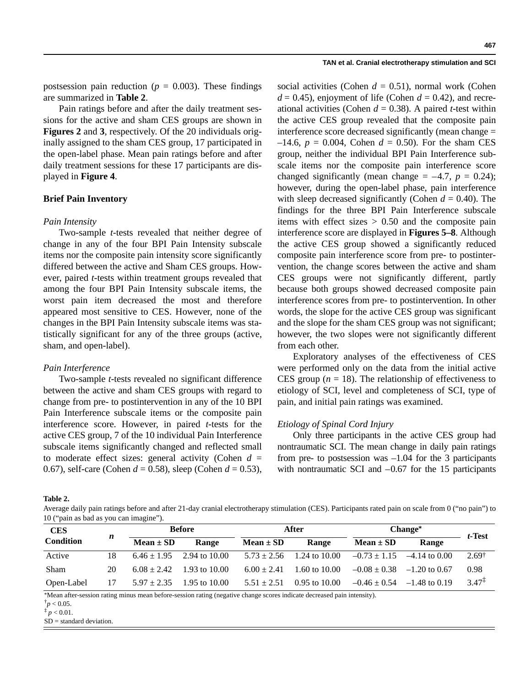postsession pain reduction ( $p = 0.003$ ). These findings are summarized in **Table 2**.

Pain ratings before and after the daily treatment sessions for the active and sham CES groups are shown in **Figures 2** and **3**, respectively. Of the 20 individuals originally assigned to the sham CES group, 17 participated in the open-label phase. Mean pain ratings before and after daily treatment sessions for these 17 participants are displayed in **Figure 4**.

# **Brief Pain Inventory**

## *Pain Intensity*

Two-sample *t*-tests revealed that neither degree of change in any of the four BPI Pain Intensity subscale items nor the composite pain intensity score significantly differed between the active and Sham CES groups. However, paired *t*-tests within treatment groups revealed that among the four BPI Pain Intensity subscale items, the worst pain item decreased the most and therefore appeared most sensitive to CES. However, none of the changes in the BPI Pain Intensity subscale items was statistically significant for any of the three groups (active, sham, and open-label).

#### *Pain Interference*

Two-sample *t*-tests revealed no significant difference between the active and sham CES groups with regard to change from pre- to postintervention in any of the 10 BPI Pain Interference subscale items or the composite pain interference score. However, in paired *t*-tests for the active CES group, 7 of the 10 individual Pain Interference subscale items significantly changed and reflected small to moderate effect sizes: general activity (Cohen  $d =$ 0.67), self-care (Cohen *d* = 0.58), sleep (Cohen *d* = 0.53),

social activities (Cohen  $d = 0.51$ ), normal work (Cohen  $d = 0.45$ , enjoyment of life (Cohen  $d = 0.42$ ), and recreational activities (Cohen  $d = 0.38$ ). A paired *t*-test within the active CES group revealed that the composite pain interference score decreased significantly (mean change =  $-14.6$ ,  $p = 0.004$ , Cohen  $d = 0.50$ ). For the sham CES group, neither the individual BPI Pain Interference subscale items nor the composite pain interference score changed significantly (mean change  $= -4.7$ ,  $p = 0.24$ ); however, during the open-label phase, pain interference with sleep decreased significantly (Cohen  $d = 0.40$ ). The findings for the three BPI Pain Interference subscale items with effect sizes  $> 0.50$  and the composite pain interference score are displayed in **Figures 5–8**. Although the active CES group showed a significantly reduced composite pain interference score from pre- to postintervention, the change scores between the active and sham CES groups were not significantly different, partly because both groups showed decreased composite pain interference scores from pre- to postintervention. In other words, the slope for the active CES group was significant and the slope for the sham CES group was not significant; however, the two slopes were not significantly different from each other.

Exploratory analyses of the effectiveness of CES were performed only on the data from the initial active CES group ( $n = 18$ ). The relationship of effectiveness to etiology of SCI, level and completeness of SCI, type of pain, and initial pain ratings was examined.

#### *Etiology of Spinal Cord Injury*

Only three participants in the active CES group had nontraumatic SCI. The mean change in daily pain ratings from pre- to postsession was –1.04 for the 3 participants with nontraumatic SCI and  $-0.67$  for the 15 participants

**Table 2.**

Average daily pain ratings before and after 21-day cranial electrotherapy stimulation (CES). Participants rated pain on scale from 0 ("no pain") to 10 ("pain as bad as you can imagine").

| $\sim$ 1                       |    |                 |               |                 |                   |                     |                                  |                   |
|--------------------------------|----|-----------------|---------------|-----------------|-------------------|---------------------|----------------------------------|-------------------|
| <b>CES</b><br><b>Condition</b> |    | <b>Before</b>   |               | After           |                   | Change <sup>*</sup> |                                  | $t$ -Test         |
|                                | n  | $Mean \pm SD$   | Range         | $Mean \pm SD$   | Range             | $Mean \pm SD$       | Range                            |                   |
| Active                         | 18 | $6.46 \pm 1.95$ | 2.94 to 10.00 | $5.73 \pm 2.56$ | 1.24 to $10.00$   |                     | $-0.73 \pm 1.15$ $-4.14$ to 0.00 | $2.69^+$          |
| <b>Sham</b>                    | 20 | $6.08 \pm 2.42$ | 1.93 to 10.00 | $6.00 \pm 2.41$ | 1.60 to $10.00$   | $-0.08 \pm 0.38$    | $-1.20$ to 0.67                  | 0.98              |
| Open-Label                     | 17 | $5.97 \pm 2.35$ | 1.95 to 10.00 | $5.51 \pm 2.51$ | $0.95$ to $10.00$ | $-0.46 \pm 0.54$    | $-1.48$ to 0.19                  | $3.47^{\ddagger}$ |

\*Mean after-session rating minus mean before-session rating (negative change scores indicate decreased pain intensity).

 $\phi$  + 0.05.

 $p < 0.01$ .

SD = standard deviation.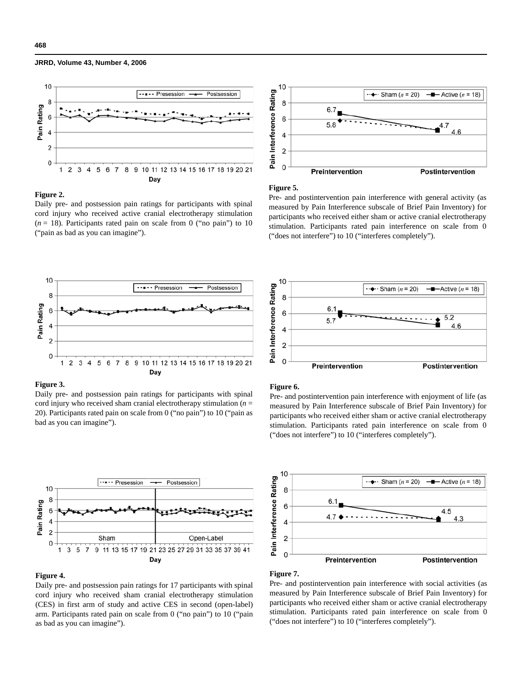

## **Figure 2.**

Daily pre- and postsession pain ratings for participants with spinal cord injury who received active cranial electrotherapy stimulation  $(n = 18)$ . Participants rated pain on scale from 0 ("no pain") to 10 ("pain as bad as you can imagine").



#### **Figure 5.**

Pre- and postintervention pain interference with general activity (as measured by Pain Interference subscale of Brief Pain Inventory) for participants who received either sham or active cranial electrotherapy stimulation. Participants rated pain interference on scale from 0 ("does not interfere") to 10 ("interferes completely").



## **Figure 3.**

Daily pre- and postsession pain ratings for participants with spinal cord injury who received sham cranial electrotherapy stimulation (*n* = 20). Participants rated pain on scale from 0 ("no pain") to 10 ("pain as bad as you can imagine").



#### **Figure 4.**

Daily pre- and postsession pain ratings for 17 participants with spinal cord injury who received sham cranial electrotherapy stimulation (CES) in first arm of study and active CES in second (open-label) arm. Participants rated pain on scale from 0 ("no pain") to 10 ("pain as bad as you can imagine").



#### **Figure 6.**

Pre- and postintervention pain interference with enjoyment of life (as measured by Pain Interference subscale of Brief Pain Inventory) for participants who received either sham or active cranial electrotherapy stimulation. Participants rated pain interference on scale from 0 ("does not interfere") to 10 ("interferes completely").



#### **Figure 7.**

Pre- and postintervention pain interference with social activities (as measured by Pain Interference subscale of Brief Pain Inventory) for participants who received either sham or active cranial electrotherapy stimulation. Participants rated pain interference on scale from 0 ("does not interfere") to 10 ("interferes completely").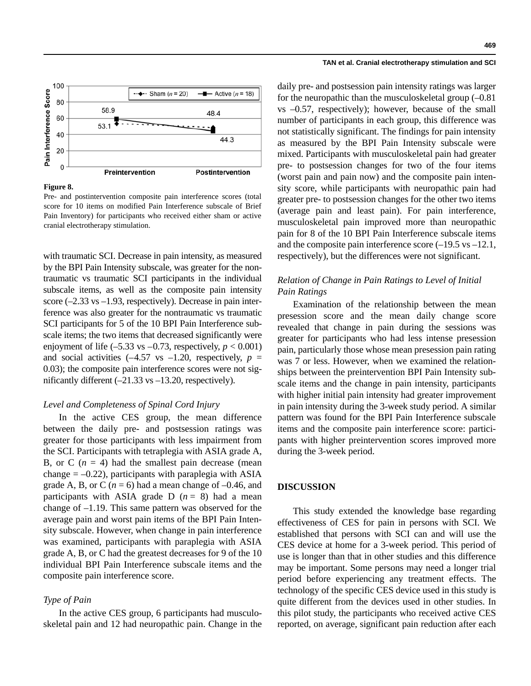

#### **Figure 8.**

Pre- and postintervention composite pain interference scores (total score for 10 items on modified Pain Interference subscale of Brief Pain Inventory) for participants who received either sham or active cranial electrotherapy stimulation.

with traumatic SCI. Decrease in pain intensity, as measured by the BPI Pain Intensity subscale, was greater for the nontraumatic vs traumatic SCI participants in the individual subscale items, as well as the composite pain intensity score (–2.33 vs –1.93, respectively). Decrease in pain interference was also greater for the nontraumatic vs traumatic SCI participants for 5 of the 10 BPI Pain Interference subscale items; the two items that decreased significantly were enjoyment of life  $(-5.33 \text{ vs } -0.73, \text{ respectively}, p < 0.001)$ and social activities  $(-4.57 \text{ vs } -1.20, \text{ respectively}, p =$ 0.03); the composite pain interference scores were not significantly different (–21.33 vs –13.20, respectively).

## *Level and Completeness of Spinal Cord Injury*

In the active CES group, the mean difference between the daily pre- and postsession ratings was greater for those participants with less impairment from the SCI. Participants with tetraplegia with ASIA grade A, B, or C  $(n = 4)$  had the smallest pain decrease (mean change  $= -0.22$ ), participants with paraplegia with ASIA grade A, B, or C ( $n = 6$ ) had a mean change of  $-0.46$ , and participants with ASIA grade D  $(n = 8)$  had a mean change of –1.19. This same pattern was observed for the average pain and worst pain items of the BPI Pain Intensity subscale. However, when change in pain interference was examined, participants with paraplegia with ASIA grade A, B, or C had the greatest decreases for 9 of the 10 individual BPI Pain Interference subscale items and the composite pain interference score.

# *Type of Pain*

In the active CES group, 6 participants had musculoskeletal pain and 12 had neuropathic pain. Change in the daily pre- and postsession pain intensity ratings was larger for the neuropathic than the musculoskeletal group (–0.81 vs –0.57, respectively); however, because of the small number of participants in each group, this difference was not statistically significant. The findings for pain intensity as measured by the BPI Pain Intensity subscale were mixed. Participants with musculoskeletal pain had greater pre- to postsession changes for two of the four items (worst pain and pain now) and the composite pain intensity score, while participants with neuropathic pain had greater pre- to postsession changes for the other two items (average pain and least pain). For pain interference, musculoskeletal pain improved more than neuropathic pain for 8 of the 10 BPI Pain Interference subscale items and the composite pain interference score (–19.5 vs –12.1, respectively), but the differences were not significant.

# *Relation of Change in Pain Ratings to Level of Initial Pain Ratings*

Examination of the relationship between the mean presession score and the mean daily change score revealed that change in pain during the sessions was greater for participants who had less intense presession pain, particularly those whose mean presession pain rating was 7 or less. However, when we examined the relationships between the preintervention BPI Pain Intensity subscale items and the change in pain intensity, participants with higher initial pain intensity had greater improvement in pain intensity during the 3-week study period. A similar pattern was found for the BPI Pain Interference subscale items and the composite pain interference score: participants with higher preintervention scores improved more during the 3-week period.

# **DISCUSSION**

This study extended the knowledge base regarding effectiveness of CES for pain in persons with SCI. We established that persons with SCI can and will use the CES device at home for a 3-week period. This period of use is longer than that in other studies and this difference may be important. Some persons may need a longer trial period before experiencing any treatment effects. The technology of the specific CES device used in this study is quite different from the devices used in other studies. In this pilot study, the participants who received active CES reported, on average, significant pain reduction after each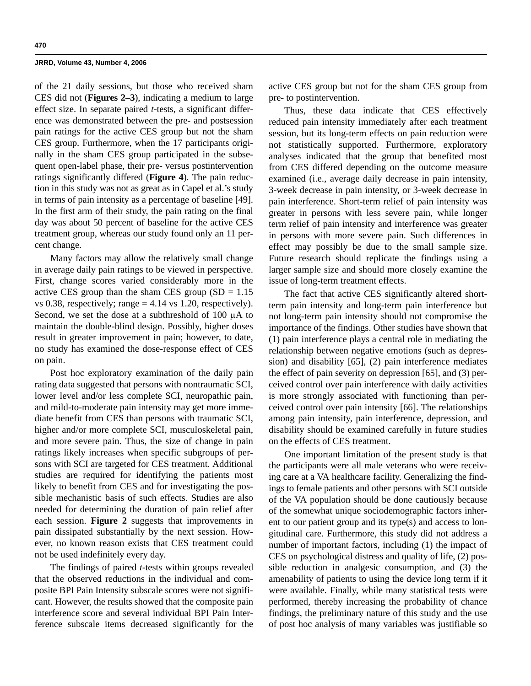of the 21 daily sessions, but those who received sham CES did not (**Figures 2–3**), indicating a medium to large effect size. In separate paired *t*-tests, a significant difference was demonstrated between the pre- and postsession pain ratings for the active CES group but not the sham CES group. Furthermore, when the 17 participants originally in the sham CES group participated in the subsequent open-label phase, their pre- versus postintervention ratings significantly differed (**Figure 4**). The pain reduction in this study was not as great as in Capel et al.'s study in terms of pain intensity as a percentage of baseline [49]. In the first arm of their study, the pain rating on the final day was about 50 percent of baseline for the active CES treatment group, whereas our study found only an 11 percent change.

Many factors may allow the relatively small change in average daily pain ratings to be viewed in perspective. First, change scores varied considerably more in the active CES group than the sham CES group  $(SD = 1.15$ vs 0.38, respectively; range  $= 4.14$  vs 1.20, respectively). Second, we set the dose at a subthreshold of 100 μA to maintain the double-blind design. Possibly, higher doses result in greater improvement in pain; however, to date, no study has examined the dose-response effect of CES on pain.

Post hoc exploratory examination of the daily pain rating data suggested that persons with nontraumatic SCI, lower level and/or less complete SCI, neuropathic pain, and mild-to-moderate pain intensity may get more immediate benefit from CES than persons with traumatic SCI, higher and/or more complete SCI, musculoskeletal pain, and more severe pain. Thus, the size of change in pain ratings likely increases when specific subgroups of persons with SCI are targeted for CES treatment. Additional studies are required for identifying the patients most likely to benefit from CES and for investigating the possible mechanistic basis of such effects. Studies are also needed for determining the duration of pain relief after each session. **Figure 2** suggests that improvements in pain dissipated substantially by the next session. However, no known reason exists that CES treatment could not be used indefinitely every day.

The findings of paired *t*-tests within groups revealed that the observed reductions in the individual and composite BPI Pain Intensity subscale scores were not significant. However, the results showed that the composite pain interference score and several individual BPI Pain Interference subscale items decreased significantly for the active CES group but not for the sham CES group from pre- to postintervention.

Thus, these data indicate that CES effectively reduced pain intensity immediately after each treatment session, but its long-term effects on pain reduction were not statistically supported. Furthermore, exploratory analyses indicated that the group that benefited most from CES differed depending on the outcome measure examined (i.e., average daily decrease in pain intensity, 3-week decrease in pain intensity, or 3-week decrease in pain interference. Short-term relief of pain intensity was greater in persons with less severe pain, while longer term relief of pain intensity and interference was greater in persons with more severe pain. Such differences in effect may possibly be due to the small sample size. Future research should replicate the findings using a larger sample size and should more closely examine the issue of long-term treatment effects.

The fact that active CES significantly altered shortterm pain intensity and long-term pain interference but not long-term pain intensity should not compromise the importance of the findings. Other studies have shown that (1) pain interference plays a central role in mediating the relationship between negative emotions (such as depression) and disability [65], (2) pain interference mediates the effect of pain severity on depression [65], and (3) perceived control over pain interference with daily activities is more strongly associated with functioning than perceived control over pain intensity [66]. The relationships among pain intensity, pain interference, depression, and disability should be examined carefully in future studies on the effects of CES treatment.

One important limitation of the present study is that the participants were all male veterans who were receiving care at a VA healthcare facility. Generalizing the findings to female patients and other persons with SCI outside of the VA population should be done cautiously because of the somewhat unique sociodemographic factors inherent to our patient group and its type(s) and access to longitudinal care. Furthermore, this study did not address a number of important factors, including (1) the impact of CES on psychological distress and quality of life, (2) possible reduction in analgesic consumption, and (3) the amenability of patients to using the device long term if it were available. Finally, while many statistical tests were performed, thereby increasing the probability of chance findings, the preliminary nature of this study and the use of post hoc analysis of many variables was justifiable so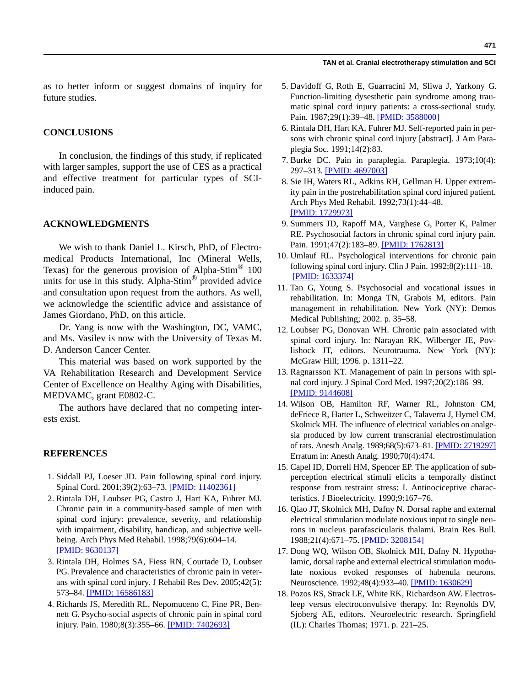as to better inform or suggest domains of inquiry for future studies.

## **CONCLUSIONS**

In conclusion, the findings of this study, if replicated with larger samples, support the use of CES as a practical and effective treatment for particular types of SCIinduced pain.

## **ACKNOWLEDGMENTS**

We wish to thank Daniel L. Kirsch, PhD, of Electromedical Products International, Inc (Mineral Wells, Texas) for the generous provision of Alpha-Stim® 100 units for use in this study. Alpha-Stim<sup>®</sup> provided advice and consultation upon request from the authors. As well, we acknowledge the scientific advice and assistance of James Giordano, PhD, on this article.

Dr. Yang is now with the Washington, DC, VAMC, and Ms. Vasilev is now with the University of Texas M. D. Anderson Cancer Center.

This material was based on work supported by the VA Rehabilitation Research and Development Service Center of Excellence on Healthy Aging with Disabilities, MEDVAMC, grant E0802-C.

The authors have declared that no competing interests exist.

# **REFERENCES**

- 1. Siddall PJ, Loeser JD. Pain following spinal cord injury. Spinal Cord. 2001;39(2):63–73. [\[PMID: 11402361\]](http://www.ncbi.nlm.nih.gov/entrez/query.fcgi?cmd=Retrieve&db=pubmed&dopt=Abstract&list_uids=11402361)
- 2. Rintala DH, Loubser PG, Castro J, Hart KA, Fuhrer MJ. Chronic pain in a community-based sample of men with spinal cord injury: prevalence, severity, and relationship with impairment, disability, handicap, and subjective wellbeing. Arch Phys Med Rehabil. 1998;79(6):604–14. [\[PMID: 9630137\]](http://www.ncbi.nlm.nih.gov/entrez/query.fcgi?cmd=Retrieve&db=pubmed&dopt=Abstract&list_uids=9630137)
- 3. Rintala DH, Holmes SA, Fiess RN, Courtade D, Loubser PG. Prevalence and characteristics of chronic pain in veterans with spinal cord injury. J Rehabil Res Dev. 2005;42(5): 573–84. [\[PMID: 16586183\]](http://www.ncbi.nlm.nih.gov/entrez/query.fcgi?cmd=Retrieve&db=pubmed&dopt=Abstract&list_uids=16586183)
- 4. Richards JS, Meredith RL, Nepomuceno C, Fine PR, Bennett G. Psycho-social aspects of chronic pain in spinal cord injury. Pain. 1980;8(3):355-66. [\[PMID: 7402693\]](http://www.ncbi.nlm.nih.gov/entrez/query.fcgi?cmd=Retrieve&db=pubmed&dopt=Abstract&list_uids=7402693)
- 5. Davidoff G, Roth E, Guarracini M, Sliwa J, Yarkony G. Function-limiting dysesthetic pain syndrome among traumatic spinal cord injury patients: a cross-sectional study. Pain. 1987;29(1):39-48. [\[PMID: 3588000\]](http://www.ncbi.nlm.nih.gov/entrez/query.fcgi?cmd=Retrieve&db=pubmed&dopt=Abstract&list_uids=3588000)
- 6. Rintala DH, Hart KA, Fuhrer MJ. Self-reported pain in persons with chronic spinal cord injury [abstract]. J Am Paraplegia Soc. 1991;14(2):83.
- 7. Burke DC. Pain in paraplegia. Paraplegia. 1973;10(4): 297–313. [\[PMID: 4697003\]](http://www.ncbi.nlm.nih.gov/entrez/query.fcgi?cmd=Retrieve&db=pubmed&dopt=Abstract&list_uids=4697003)
- 8. Sie IH, Waters RL, Adkins RH, Gellman H. Upper extremity pain in the postrehabilitation spinal cord injured patient. Arch Phys Med Rehabil. 1992;73(1):44–48. [\[PMID: 1729973\]](http://www.ncbi.nlm.nih.gov/entrez/query.fcgi?cmd=Retrieve&db=pubmed&dopt=Abstract&list_uids=1729973)
- 9. Summers JD, Rapoff MA, Varghese G, Porter K, Palmer RE. Psychosocial factors in chronic spinal cord injury pain. Pain. 1991;47(2):183–89. [\[PMID: 1762813\]](http://www.ncbi.nlm.nih.gov/entrez/query.fcgi?cmd=Retrieve&db=pubmed&dopt=Abstract&list_uids=1762813)
- 10. Umlauf RL. Psychological interventions for chronic pain following spinal cord injury. Clin J Pain. 1992;8(2):111–18. [\[PMID: 1633374\]](http://www.ncbi.nlm.nih.gov/entrez/query.fcgi?cmd=Retrieve&db=pubmed&dopt=Abstract&list_uids=1633374)
- 11. Tan G, Young S. Psychosocial and vocational issues in rehabilitation. In: Monga TN, Grabois M, editors. Pain management in rehabilitation. New York (NY): Demos Medical Publishing; 2002. p. 35–58.
- 12. Loubser PG, Donovan WH. Chronic pain associated with spinal cord injury. In: Narayan RK, Wilberger JE, Povlishock JT, editors. Neurotrauma. New York (NY): McGraw Hill; 1996. p. 1311–22.
- 13. Ragnarsson KT. Management of pain in persons with spinal cord injury. J Spinal Cord Med. 1997;20(2):186–99. [\[PMID: 9144608\]](http://www.ncbi.nlm.nih.gov/entrez/query.fcgi?cmd=Retrieve&db=pubmed&dopt=Abstract&list_uids=9144608)
- 14. Wilson OB, Hamilton RF, Warner RL, Johnston CM, deFriece R, Harter L, Schweitzer C, Talaverra J, Hymel CM, Skolnick MH. The influence of electrical variables on analgesia produced by low current transcranial electrostimulation of rats. Anesth Analg. 1989;68(5):673–81. [\[PMID: 2719297\]](http://www.ncbi.nlm.nih.gov/entrez/query.fcgi?cmd=Retrieve&db=pubmed&dopt=Abstract&list_uids=2719297) Erratum in: Anesth Analg. 1990;70(4):474.
- 15. Capel ID, Dorrell HM, Spencer EP. The application of subperception electrical stimuli elicits a temporally distinct response from restraint stress: I. Antinociceptive characteristics. J Bioelectricity. 1990;9:167–76.
- 16. Qiao JT, Skolnick MH, Dafny N. Dorsal raphe and external electrical stimulation modulate noxious input to single neurons in nucleus parafascicularis thalami. Brain Res Bull. 1988;21(4):671–75. [\[PMID: 3208154\]](http://www.ncbi.nlm.nih.gov/entrez/query.fcgi?cmd=Retrieve&db=pubmed&dopt=Abstract&list_uids=3208154)
- 17. Dong WQ, Wilson OB, Skolnick MH, Dafny N. Hypothalamic, dorsal raphe and external electrical stimulation modulate noxious evoked responses of habenula neurons. Neuroscience. 1992;48(4):933–40. [\[PMID: 1630629\]](http://www.ncbi.nlm.nih.gov/entrez/query.fcgi?cmd=Retrieve&db=pubmed&dopt=Abstract&list_uids=1630629)
- 18. Pozos RS, Strack LE, White RK, Richardson AW. Electrosleep versus electroconvulsive therapy. In: Reynolds DV, Sjoberg AE, editors. Neuroelectric research. Springfield (IL): Charles Thomas; 1971. p. 221–25.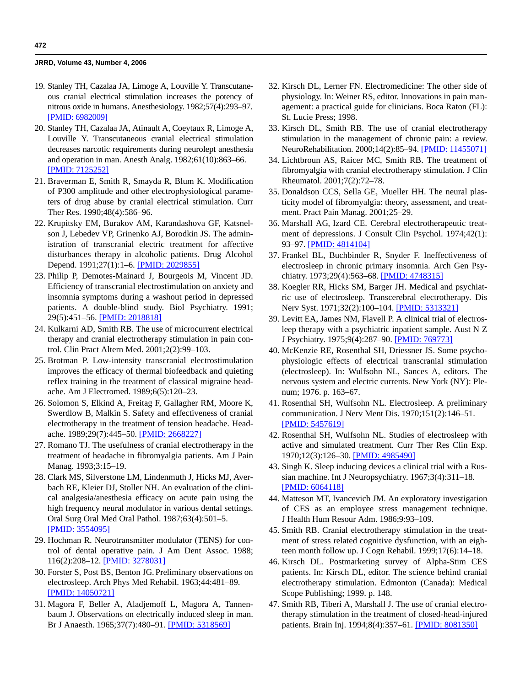- 19. Stanley TH, Cazalaa JA, Limoge A, Louville Y. Transcutaneous cranial electrical stimulation increases the potency of nitrous oxide in humans. Anesthesiology. 1982;57(4):293–97. [\[PMID: 6982009\]](http://www.ncbi.nlm.nih.gov/entrez/query.fcgi?cmd=Retrieve&db=pubmed&dopt=Abstract&list_uids=6982009)
- 20. Stanley TH, Cazalaa JA, Atinault A, Coeytaux R, Limoge A, Louville Y. Transcutaneous cranial electrical stimulation decreases narcotic requirements during neurolept anesthesia and operation in man. Anesth Analg. 1982;61(10):863–66. [\[PMID: 7125252\]](http://www.ncbi.nlm.nih.gov/entrez/query.fcgi?cmd=Retrieve&db=pubmed&dopt=Abstract&list_uids=7125252)
- 21. Braverman E, Smith R, Smayda R, Blum K. Modification of P300 amplitude and other electrophysiological parameters of drug abuse by cranial electrical stimulation. Curr Ther Res. 1990;48(4):586–96.
- 22. Krupitsky EM, Burakov AM, Karandashova GF, Katsnelson J, Lebedev VP, Grinenko AJ, Borodkin JS. The administration of transcranial electric treatment for affective disturbances therapy in alcoholic patients. Drug Alcohol Depend. 1991;27(1):1–6. [\[PMID: 2029855\]](http://www.ncbi.nlm.nih.gov/entrez/query.fcgi?cmd=Retrieve&db=pubmed&dopt=Abstract&list_uids=2029855)
- 23. Philip P, Demotes-Mainard J, Bourgeois M, Vincent JD. Efficiency of transcranial electrostimulation on anxiety and insomnia symptoms during a washout period in depressed patients. A double-blind study. Biol Psychiatry. 1991; 29(5):451–56. [\[PMID: 2018818\]](http://www.ncbi.nlm.nih.gov/entrez/query.fcgi?cmd=Retrieve&db=pubmed&dopt=Abstract&list_uids=2018818)
- 24. Kulkarni AD, Smith RB. The use of microcurrent electrical therapy and cranial electrotherapy stimulation in pain control. Clin Pract Altern Med. 2001;2(2):99–103.
- 25. Brotman P. Low-intensity transcranial electrostimulation improves the efficacy of thermal biofeedback and quieting reflex training in the treatment of classical migraine headache. Am J Electromed. 1989;6(5):120–23.
- 26. Solomon S, Elkind A, Freitag F, Gallagher RM, Moore K, Swerdlow B, Malkin S. Safety and effectiveness of cranial electrotherapy in the treatment of tension headache. Headache. 1989;29(7):445–50. [\[PMID: 2668227\]](http://www.ncbi.nlm.nih.gov/entrez/query.fcgi?cmd=Retrieve&db=pubmed&dopt=Abstract&list_uids=2668227)
- 27. Romano TJ. The usefulness of cranial electrotherapy in the treatment of headache in fibromyalgia patients. Am J Pain Manag. 1993;3:15–19.
- 28. Clark MS, Silverstone LM, Lindenmuth J, Hicks MJ, Averbach RE, Kleier DJ, Stoller NH. An evaluation of the clinical analgesia/anesthesia efficacy on acute pain using the high frequency neural modulator in various dental settings. Oral Surg Oral Med Oral Pathol. 1987;63(4):501–5. [\[PMID: 3554095\]](http://www.ncbi.nlm.nih.gov/entrez/query.fcgi?cmd=Retrieve&db=pubmed&dopt=Abstract&list_uids=3554095)
- 29. Hochman R. Neurotransmitter modulator (TENS) for control of dental operative pain. J Am Dent Assoc. 1988; 116(2):208–12. [\[PMID: 3278031\]](http://www.ncbi.nlm.nih.gov/entrez/query.fcgi?cmd=Retrieve&db=pubmed&dopt=Abstract&list_uids=3278031)
- 30. Forster S, Post BS, Benton JG. Preliminary observations on electrosleep. Arch Phys Med Rehabil. 1963;44:481–89. [\[PMID: 14050721\]](http://www.ncbi.nlm.nih.gov/entrez/query.fcgi?cmd=Retrieve&db=pubmed&dopt=Abstract&list_uids=14050721)
- 31. Magora F, Beller A, Aladjemoff L, Magora A, Tannenbaum J. Observations on electrically induced sleep in man. Br J Anaesth. 1965;37(7):480–91. [\[PMID: 5318569\]](http://www.ncbi.nlm.nih.gov/entrez/query.fcgi?cmd=Retrieve&db=pubmed&dopt=Abstract&list_uids=5318569)
- 32. Kirsch DL, Lerner FN. Electromedicine: The other side of physiology. In: Weiner RS, editor. Innovations in pain management: a practical guide for clinicians. Boca Raton (FL): St. Lucie Press; 1998.
- 33. Kirsch DL, Smith RB. The use of cranial electrotherapy stimulation in the management of chronic pain: a review. NeuroRehabilitation. 2000;14(2):85–94. [\[PMID: 11455071\]](http://www.ncbi.nlm.nih.gov/entrez/query.fcgi?cmd=Retrieve&db=pubmed&dopt=Abstract&list_uids=11455071)
- 34. Lichtbroun AS, Raicer MC, Smith RB. The treatment of fibromyalgia with cranial electrotherapy stimulation. J Clin Rheumatol. 2001;7(2):72–78.
- 35. Donaldson CCS, Sella GE, Mueller HH. The neural plasticity model of fibromyalgia: theory, assessment, and treatment. Pract Pain Manag. 2001;25–29.
- 36. Marshall AG, Izard CE. Cerebral electrotherapeutic treatment of depressions. J Consult Clin Psychol. 1974;42(1): 93–97. [\[PMID: 4814104\]](http://www.ncbi.nlm.nih.gov/entrez/query.fcgi?cmd=Retrieve&db=pubmed&dopt=Abstract&list_uids=4814104)
- 37. Frankel BL, Buchbinder R, Snyder F. Ineffectiveness of electrosleep in chronic primary insomnia. Arch Gen Psychiatry. 1973;29(4):563–68. [\[PMID: 4748315\]](http://www.ncbi.nlm.nih.gov/entrez/query.fcgi?cmd=Retrieve&db=pubmed&dopt=Abstract&list_uids=4748315)
- 38. Koegler RR, Hicks SM, Barger JH. Medical and psychiatric use of electrosleep. Transcerebral electrotherapy. Dis Nerv Syst. 1971;32(2):100-104. [\[PMID: 5313321\]](http://www.ncbi.nlm.nih.gov/entrez/query.fcgi?cmd=Retrieve&db=pubmed&dopt=Abstract&list_uids=5313321)
- 39. Levitt EA, James NM, Flavell P. A clinical trial of electrosleep therapy with a psychiatric inpatient sample. Aust N Z J Psychiatry. 1975;9(4):287–90. [\[PMID: 769773\]](http://www.ncbi.nlm.nih.gov/entrez/query.fcgi?cmd=Retrieve&db=pubmed&dopt=Abstract&list_uids=769773)
- 40. McKenzie RE, Rosenthal SH, Driessner JS. Some psychophysiologic effects of electrical transcranial stimulation (electrosleep). In: Wulfsohn NL, Sances A, editors. The nervous system and electric currents. New York (NY): Plenum; 1976. p. 163–67.
- 41. Rosenthal SH, Wulfsohn NL. Electrosleep. A preliminary communication. J Nerv Ment Dis. 1970;151(2):146–51. [\[PMID: 5457619\]](http://www.ncbi.nlm.nih.gov/entrez/query.fcgi?cmd=Retrieve&db=pubmed&dopt=Abstract&list_uids=5457619)
- 42. Rosenthal SH, Wulfsohn NL. Studies of electrosleep with active and simulated treatment. Curr Ther Res Clin Exp. 1970;12(3):126-30. [\[PMID: 4985490\]](http://www.ncbi.nlm.nih.gov/entrez/query.fcgi?cmd=Retrieve&db=pubmed&dopt=Abstract&list_uids=4985490)
- 43. Singh K. Sleep inducing devices a clinical trial with a Russian machine. Int J Neuropsychiatry. 1967;3(4):311–18. [\[PMID: 6064118\]](http://www.ncbi.nlm.nih.gov/entrez/query.fcgi?cmd=Retrieve&db=pubmed&dopt=Abstract&list_uids=6064118)
- 44. Matteson MT, Ivancevich JM. An exploratory investigation of CES as an employee stress management technique. J Health Hum Resour Adm. 1986;9:93–109.
- 45. Smith RB. Cranial electrotherapy stimulation in the treatment of stress related cognitive dysfunction, with an eighteen month follow up. J Cogn Rehabil. 1999;17(6):14–18.
- 46. Kirsch DL. Postmarketing survey of Alpha-Stim CES patients. In: Kirsch DL, editor. The science behind cranial electrotherapy stimulation. Edmonton (Canada): Medical Scope Publishing; 1999. p. 148.
- 47. Smith RB, Tiberi A, Marshall J. The use of cranial electrotherapy stimulation in the treatment of closed-head-injured patients. Brain Inj. 1994;8(4):357–61. [\[PMID: 8081350\]](http://www.ncbi.nlm.nih.gov/entrez/query.fcgi?cmd=Retrieve&db=pubmed&dopt=Abstract&list_uids=8081350)